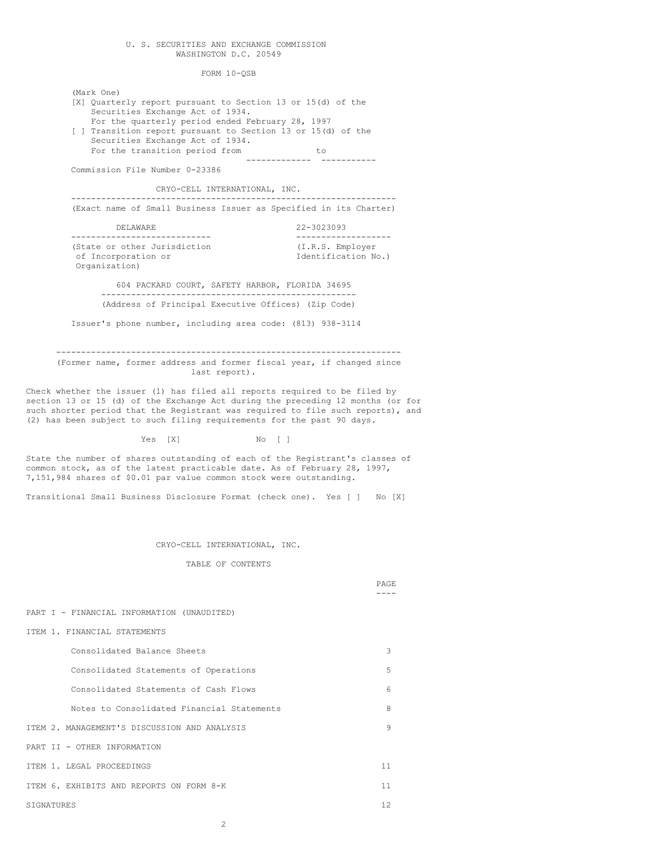### U. S. SECURITIES AND EXCHANGE COMMISSION WASHINGTON D.C. 20549

FORM 10-QSB

[X] Quarterly report pursuant to Section 13 or 15(d) of the

(Mark One)

Securities Exchange Act of 1934. For the quarterly period ended February 28, 1997 [ ] Transition report pursuant to Section 13 or 15(d) of the Securities Exchange Act of 1934. For the transition period from to ------------- ----------- Commission File Number 0-23386 CRYO-CELL INTERNATIONAL, INC. ----------------------------------------------------------------- (Exact name of Small Business Issuer as Specified in its Charter) DELAWARE 22-3023093 ---------------------------- ------------------- (State or other Jurisdiction (I.R.S. Employer of Incorporation or Identification No.) Organization) 604 PACKARD COURT, SAFETY HARBOR, FLORIDA 34695 --------------------------------------------------- (Address of Principal Executive Offices) (Zip Code) Issuer's phone number, including area code: (813) 938-3114 --------------------------------------------------------------------- (Former name, former address and former fiscal year, if changed since last report). Check whether the issuer (1) has filed all reports required to be filed by section 13 or 15 (d) of the Exchange Act during the preceding 12 months (or for such shorter period that the Registrant was required to file such reports), and (2) has been subject to such filing requirements for the past 90 days. Yes [X] No [ ] State the number of shares outstanding of each of the Registrant's classes of common stock, as of the latest practicable date. As of February 28, 1997, 7,151,984 shares of \$0.01 par value common stock were outstanding. Transitional Small Business Disclosure Format (check one). Yes [ ] No [X] CRYO-CELL INTERNATIONAL, INC. TABLE OF CONTENTS PAGE ---- PART I - FINANCIAL INFORMATION (UNAUDITED) ITEM 1. FINANCIAL STATEMENTS Consolidated Balance Sheets 3 Consolidated Statements of Operations 5 Consolidated Statements of Cash Flows 6 Notes to Consolidated Financial Statements 8 ITEM 2. MANAGEMENT'S DISCUSSION AND ANALYSIS 9 PART II - OTHER INFORMATION ITEM 1. LEGAL PROCEEDINGS 11 ITEM 6. EXHIBITS AND REPORTS ON FORM 8-K 11 SIGNATURES 22 2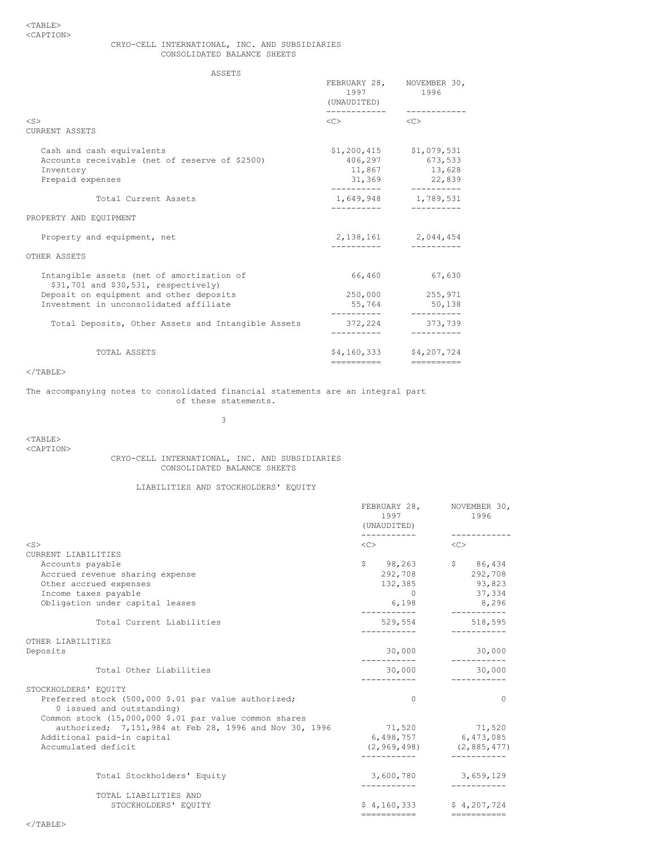## CRYO-CELL INTERNATIONAL, INC. AND SUBSIDIARIES CONSOLIDATED BALANCE SHEETS

ASSETS

| AJJL 1 J                                                                          |                             |                                   |  |
|-----------------------------------------------------------------------------------|-----------------------------|-----------------------------------|--|
|                                                                                   | 1997                        | FEBRUARY 28, NOVEMBER 30,<br>1996 |  |
|                                                                                   | (UNAUDITED)<br>------------ |                                   |  |
| $<$ S $>$<br>CURRENT ASSETS                                                       | $\langle C \rangle$         | <<                                |  |
|                                                                                   |                             |                                   |  |
| Cash and cash equivalents                                                         |                             | $$1,200,415$ $$1,079,531$         |  |
| Accounts receivable (net of reserve of \$2500)                                    |                             | 406,297 673,533                   |  |
| Inventory                                                                         |                             | 11,867 13,628                     |  |
| Prepaid expenses                                                                  |                             | 31,369 22,839                     |  |
| Total Current Assets                                                              |                             | 1,649,948 1,789,531               |  |
| PROPERTY AND EQUIPMENT                                                            |                             |                                   |  |
| Property and equipment, net                                                       |                             | 2, 138, 161 2, 044, 454           |  |
| OTHER ASSETS                                                                      |                             |                                   |  |
| Intangible assets (net of amortization of<br>\$31,701 and \$30,531, respectively) |                             | 66,460 67,630                     |  |
| Deposit on equipment and other deposits                                           |                             | 250,000 255,971                   |  |
| Investment in unconsolidated affiliate                                            | 55,764                      | 50, 138                           |  |
| Total Deposits, Other Assets and Intangible Assets                                | 372,224                     | 373,739                           |  |
|                                                                                   |                             |                                   |  |
| TOTAL ASSETS                                                                      |                             | $$4, 160, 333$ $$4, 207, 724$     |  |
|                                                                                   | ----------                  |                                   |  |

 $\rm <$  /TABLE>

## The accompanying notes to consolidated financial statements are an integral part of these statements.

3

 $<$ TABLE $>$ <CAPTION>

# CRYO-CELL INTERNATIONAL, INC. AND SUBSIDIARIES CONSOLIDATED BALANCE SHEETS

# LIABILITIES AND STOCKHOLDERS' EQUITY

|                                                                                   | 1997<br>(UNAUDITED) | FEBRUARY 28, NOVEMBER 30,<br>1996                        |
|-----------------------------------------------------------------------------------|---------------------|----------------------------------------------------------|
| $<$ S>                                                                            | $\langle C \rangle$ | $\langle C \rangle$                                      |
| CURRENT LIABILITIES                                                               |                     |                                                          |
| Accounts payable                                                                  |                     | $$98,263$ $$86,434$                                      |
| Accrued revenue sharing expense                                                   |                     | 292,708 292,708                                          |
| Other accrued expenses                                                            | 132,385             | 93,823                                                   |
| Income taxes payable                                                              | $\cap$              | 37,334                                                   |
| Obligation under capital leases                                                   | 6,198               | 8,296                                                    |
| Total Current Liabilities                                                         | 529,554             | 518,595                                                  |
| OTHER LIABILITIES                                                                 |                     |                                                          |
| Deposits                                                                          | 30,000              | 30,000<br>-----------                                    |
| Total Other Liabilities                                                           | 30,000              | 30,000                                                   |
| STOCKHOLDERS' EQUITY                                                              |                     |                                                          |
| Preferred stock (500,000 \$.01 par value authorized;<br>0 issued and outstanding) | $\Omega$            | $\Omega$                                                 |
| Common stock (15,000,000 \$.01 par value common shares                            |                     |                                                          |
| authorized; 7,151,984 at Feb 28, 1996 and Nov 30, 1996                            |                     | 71,520 71,520                                            |
| Additional paid-in capital                                                        |                     | 6,498,757 6,473,085                                      |
| Accumulated deficit                                                               |                     | $(2, 969, 498)$ $(2, 885, 477)$                          |
| Total Stockholders' Equity                                                        |                     | 3,600,780 3,659,129                                      |
| TOTAL LIABILITIES AND                                                             |                     |                                                          |
| STOCKHOLDERS' EQUITY                                                              |                     | $$4,160,333$ $$4,207,724$<br>=========================== |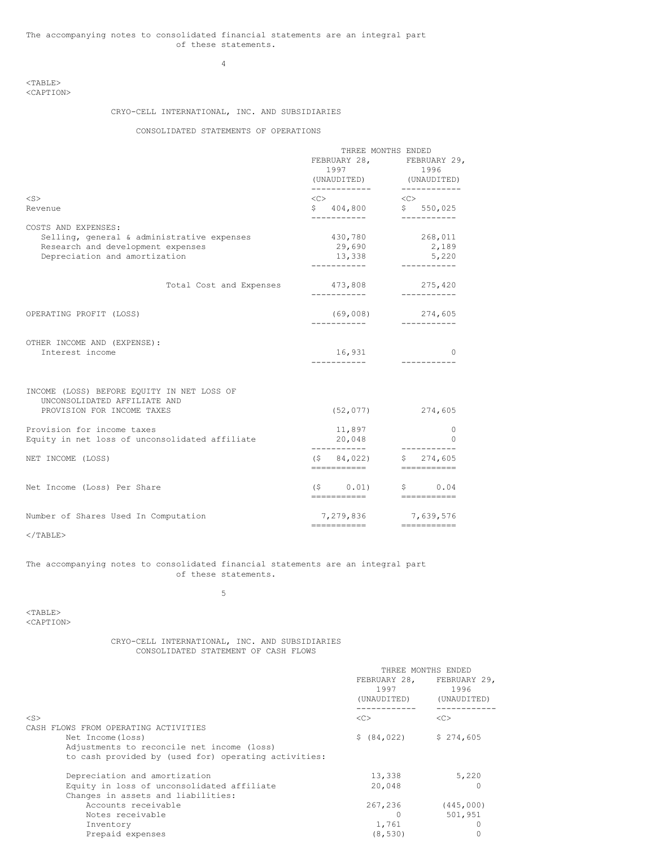4

## <TABLE> <CAPTION>

# CRYO-CELL INTERNATIONAL, INC. AND SUBSIDIARIES

## CONSOLIDATED STATEMENTS OF OPERATIONS

|                                                                            | THREE MONTHS ENDED                                   |                                   |
|----------------------------------------------------------------------------|------------------------------------------------------|-----------------------------------|
|                                                                            |                                                      | FEBRUARY 28, FEBRUARY 29,         |
|                                                                            | 1997                                                 | 1996                              |
|                                                                            |                                                      | (UNAUDITED) (UNAUDITED)           |
| $<$ S $>$                                                                  | ------------<br>$\langle C \rangle$                  | ------------<br>$<<$ C $>$        |
| Revenue                                                                    | \$ 404,800                                           | \$550,025<br>-----------          |
| COSTS AND EXPENSES:                                                        | ------------                                         |                                   |
| Selling, general & administrative expenses                                 | 430,780                                              | 268,011                           |
| Research and development expenses                                          | 29,690                                               | 2,189                             |
| Depreciation and amortization                                              | 13,338<br>-----------                                | 5,220<br>------------             |
| Total Cost and Expenses                                                    | 473,808<br>------------                              | 275,420<br>___________            |
|                                                                            |                                                      |                                   |
| OPERATING PROFIT (LOSS)                                                    |                                                      | $(69,008)$ 274,605<br>----------- |
| OTHER INCOME AND (EXPENSE):                                                |                                                      |                                   |
| Interest income                                                            | 16,931                                               | 0                                 |
|                                                                            | ------------                                         | -----------                       |
| INCOME (LOSS) BEFORE EQUITY IN NET LOSS OF<br>UNCONSOLIDATED AFFILIATE AND |                                                      |                                   |
| PROVISION FOR INCOME TAXES                                                 |                                                      | $(52, 077)$ 274,605               |
| Provision for income taxes                                                 | 11,897                                               | 0                                 |
| Equity in net loss of unconsolidated affiliate                             | 20,048<br>___________                                | $\Omega$                          |
| NET INCOME (LOSS)                                                          | $(5 \t 84, 022)$<br>==========                       | \$ 274,605                        |
|                                                                            |                                                      |                                   |
| Net Income (Loss) Per Share                                                | $(5 \t 0.01)$ \$ 0.04<br>=========================== |                                   |
| Number of Shares Used In Computation                                       |                                                      | 7,279,836 7,639,576               |
|                                                                            | -----------                                          | $=$ = = = = = = = = = = =         |

 $<$ /TABLE>

## The accompanying notes to consolidated financial statements are an integral part of these statements.

5

 $<$ TABLE $>$ <CAPTION>

## CRYO-CELL INTERNATIONAL, INC. AND SUBSIDIARIES CONSOLIDATED STATEMENT OF CASH FLOWS

|                                                      | THREE MONTHS ENDED  |                                                  |
|------------------------------------------------------|---------------------|--------------------------------------------------|
|                                                      | 1997<br>(UNAUDITED) | FEBRUARY 28, FEBRUARY 29,<br>1996<br>(UNAUDITED) |
| $<$ S>                                               | <<                  | <<                                               |
| CASH FLOWS FROM OPERATING ACTIVITIES                 |                     |                                                  |
| Net Income (loss)                                    | \$ (84, 022)        | \$274,605                                        |
| Adjustments to reconcile net income (loss)           |                     |                                                  |
| to cash provided by (used for) operating activities: |                     |                                                  |
| Depreciation and amortization                        | 13,338              | 5,220                                            |
| Equity in loss of unconsolidated affiliate           | 20,048              |                                                  |
| Changes in assets and liabilities:                   |                     |                                                  |
| Accounts receivable                                  | 267,236             | (445, 000)                                       |
| Notes receivable                                     |                     | 501,951                                          |
| Inventory                                            | 1,761               |                                                  |
| Prepaid expenses                                     | (8, 530)            |                                                  |
|                                                      |                     |                                                  |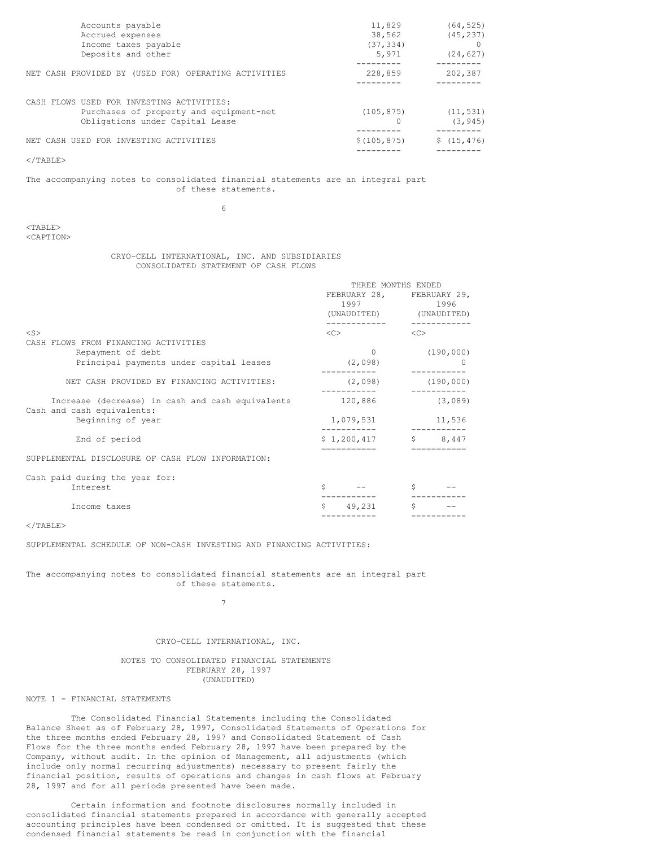| Accounts payable                                     | 11,829       | (64, 525)   |
|------------------------------------------------------|--------------|-------------|
| Accrued expenses                                     | 38,562       | (45, 237)   |
| Income taxes payable                                 | (37, 334)    |             |
| Deposits and other                                   | 5,971        | (24, 627)   |
| NET CASH PROVIDED BY (USED FOR) OPERATING ACTIVITIES | 228,859      | 202,387     |
| CASH FLOWS USED FOR INVESTING ACTIVITIES:            |              |             |
| Purchases of property and equipment-net              | (105, 875)   | (11, 531)   |
| Obligations under Capital Lease                      |              | (3, 945)    |
| NET CASH USED FOR INVESTING ACTIVITIES               | \$(105, 875) | \$(15, 476) |
|                                                      |              |             |
| $\langle$ /TABLE>                                    |              |             |

The accompanying notes to consolidated financial statements are an integral part of these statements.

6

 $<$ TABLE> <CAPTION>

### CRYO-CELL INTERNATIONAL, INC. AND SUBSIDIARIES CONSOLIDATED STATEMENT OF CASH FLOWS

|                                                                                                         | THREE MONTHS ENDED<br>FEBRUARY 28, FEBRUARY 29,<br>1997<br>(UNAUDITED) | 1996<br>(UNAUDITED) |
|---------------------------------------------------------------------------------------------------------|------------------------------------------------------------------------|---------------------|
| $<$ S>                                                                                                  | $<<$ $<$ $>$                                                           | <<                  |
| FLOWS FROM FINANCING ACTIVITIES<br>CASH<br>Repayment of debt<br>Principal payments under capital leases | 0<br>(2,098)                                                           | (190, 000)          |
| NET CASH PROVIDED BY FINANCING ACTIVITIES:                                                              | (2,098)                                                                | (190, 000)          |
| Increase (decrease) in cash and cash equivalents                                                        | 120,886                                                                | (3,089)             |
| Cash and cash equivalents:<br>Beginning of year                                                         | 1,079,531                                                              | 11,536              |
| End of period                                                                                           | \$1,200,417                                                            | \$<br>8,447         |
| SUPPLEMENTAL DISCLOSURE OF CASH FLOW INFORMATION:                                                       |                                                                        |                     |

Cash paid during the year for: Interest  $\zeta$  --  $\zeta$  --  $\zeta$  ------------- ----------- Income taxes  $\begin{array}{cccc} \xi & 49,231 & \xi & - & - \\ - & - & - & - & - - - - - - - \\ \end{array}$ ----------- -----------

 $<$ /TABLE>

SUPPLEMENTAL SCHEDULE OF NON-CASH INVESTING AND FINANCING ACTIVITIES:

The accompanying notes to consolidated financial statements are an integral part of these statements.

7

## CRYO-CELL INTERNATIONAL, INC.

### NOTES TO CONSOLIDATED FINANCIAL STATEMENTS FEBRUARY 28, 1997 (UNAUDITED)

# NOTE 1 - FINANCIAL STATEMENTS

The Consolidated Financial Statements including the Consolidated Balance Sheet as of February 28, 1997, Consolidated Statements of Operations for the three months ended February 28, 1997 and Consolidated Statement of Cash Flows for the three months ended February 28, 1997 have been prepared by the Company, without audit. In the opinion of Management, all adjustments (which include only normal recurring adjustments) necessary to present fairly the financial position, results of operations and changes in cash flows at February 28, 1997 and for all periods presented have been made.

Certain information and footnote disclosures normally included in consolidated financial statements prepared in accordance with generally accepted accounting principles have been condensed or omitted. It is suggested that these condensed financial statements be read in conjunction with the financial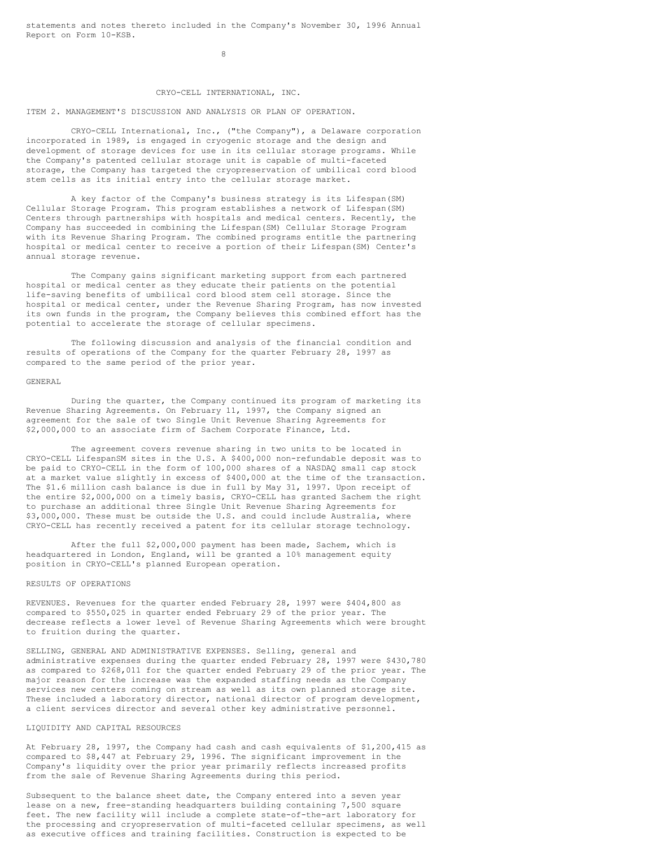statements and notes thereto included in the Company's November 30, 1996 Annual Report on Form 10-KSB.

8

## CRYO-CELL INTERNATIONAL, INC.

#### ITEM 2. MANAGEMENT'S DISCUSSION AND ANALYSIS OR PLAN OF OPERATION.

CRYO-CELL International, Inc., ("the Company"), a Delaware corporation incorporated in 1989, is engaged in cryogenic storage and the design and development of storage devices for use in its cellular storage programs. While the Company's patented cellular storage unit is capable of multi-faceted storage, the Company has targeted the cryopreservation of umbilical cord blood stem cells as its initial entry into the cellular storage market.

A key factor of the Company's business strategy is its Lifespan(SM) Cellular Storage Program. This program establishes a network of Lifespan(SM) Centers through partnerships with hospitals and medical centers. Recently, the Company has succeeded in combining the Lifespan(SM) Cellular Storage Program with its Revenue Sharing Program. The combined programs entitle the partnering hospital or medical center to receive a portion of their Lifespan(SM) Center's annual storage revenue.

The Company gains significant marketing support from each partnered hospital or medical center as they educate their patients on the potential life-saving benefits of umbilical cord blood stem cell storage. Since the hospital or medical center, under the Revenue Sharing Program, has now invested its own funds in the program, the Company believes this combined effort has the potential to accelerate the storage of cellular specimens.

The following discussion and analysis of the financial condition and results of operations of the Company for the quarter February 28, 1997 as compared to the same period of the prior year.

#### GENERAL

During the quarter, the Company continued its program of marketing its Revenue Sharing Agreements. On February 11, 1997, the Company signed an agreement for the sale of two Single Unit Revenue Sharing Agreements for \$2,000,000 to an associate firm of Sachem Corporate Finance, Ltd.

The agreement covers revenue sharing in two units to be located in CRYO-CELL LifespanSM sites in the U.S. A \$400,000 non-refundable deposit was to be paid to CRYO-CELL in the form of 100,000 shares of a NASDAQ small cap stock at a market value slightly in excess of \$400,000 at the time of the transaction. The \$1.6 million cash balance is due in full by May 31, 1997. Upon receipt of the entire \$2,000,000 on a timely basis, CRYO-CELL has granted Sachem the right to purchase an additional three Single Unit Revenue Sharing Agreements for \$3,000,000. These must be outside the U.S. and could include Australia, where CRYO-CELL has recently received a patent for its cellular storage technology.

After the full \$2,000,000 payment has been made, Sachem, which is headquartered in London, England, will be granted a 10% management equity position in CRYO-CELL's planned European operation.

### RESULTS OF OPERATIONS

REVENUES. Revenues for the quarter ended February 28, 1997 were \$404,800 as compared to \$550,025 in quarter ended February 29 of the prior year. The decrease reflects a lower level of Revenue Sharing Agreements which were brought to fruition during the quarter.

SELLING, GENERAL AND ADMINISTRATIVE EXPENSES. Selling, general and administrative expenses during the quarter ended February 28, 1997 were \$430,780 as compared to \$268,011 for the quarter ended February 29 of the prior year. The major reason for the increase was the expanded staffing needs as the Company services new centers coming on stream as well as its own planned storage site. These included a laboratory director, national director of program development, a client services director and several other key administrative personnel.

## LIQUIDITY AND CAPITAL RESOURCES

At February 28, 1997, the Company had cash and cash equivalents of \$1,200,415 as compared to \$8,447 at February 29, 1996. The significant improvement in the Company's liquidity over the prior year primarily reflects increased profits from the sale of Revenue Sharing Agreements during this period.

Subsequent to the balance sheet date, the Company entered into a seven year lease on a new, free-standing headquarters building containing 7,500 square feet. The new facility will include a complete state-of-the-art laboratory for the processing and cryopreservation of multi-faceted cellular specimens, as well as executive offices and training facilities. Construction is expected to be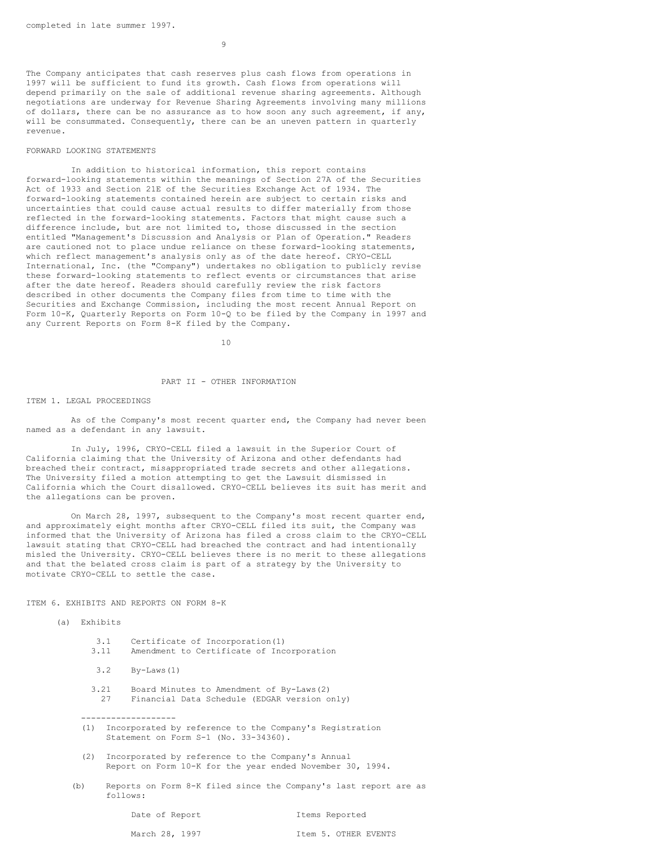9

The Company anticipates that cash reserves plus cash flows from operations in 1997 will be sufficient to fund its growth. Cash flows from operations will depend primarily on the sale of additional revenue sharing agreements. Although negotiations are underway for Revenue Sharing Agreements involving many millions of dollars, there can be no assurance as to how soon any such agreement, if any, will be consummated. Consequently, there can be an uneven pattern in quarterly revenue.

## FORWARD LOOKING STATEMENTS

In addition to historical information, this report contains forward-looking statements within the meanings of Section 27A of the Securities Act of 1933 and Section 21E of the Securities Exchange Act of 1934. The forward-looking statements contained herein are subject to certain risks and uncertainties that could cause actual results to differ materially from those reflected in the forward-looking statements. Factors that might cause such a difference include, but are not limited to, those discussed in the section entitled "Management's Discussion and Analysis or Plan of Operation." Readers are cautioned not to place undue reliance on these forward-looking statements, which reflect management's analysis only as of the date hereof. CRYO-CELL International, Inc. (the "Company") undertakes no obligation to publicly revise these forward-looking statements to reflect events or circumstances that arise after the date hereof. Readers should carefully review the risk factors described in other documents the Company files from time to time with the Securities and Exchange Commission, including the most recent Annual Report on Form 10-K, Quarterly Reports on Form 10-Q to be filed by the Company in 1997 and any Current Reports on Form 8-K filed by the Company.

10

## PART II - OTHER INFORMATION

#### ITEM 1. LEGAL PROCEEDINGS

As of the Company's most recent quarter end, the Company had never been named as a defendant in any lawsuit.

In July, 1996, CRYO-CELL filed a lawsuit in the Superior Court of California claiming that the University of Arizona and other defendants had breached their contract, misappropriated trade secrets and other allegations. The University filed a motion attempting to get the Lawsuit dismissed in California which the Court disallowed. CRYO-CELL believes its suit has merit and the allegations can be proven.

On March 28, 1997, subsequent to the Company's most recent quarter end, and approximately eight months after CRYO-CELL filed its suit, the Company was informed that the University of Arizona has filed a cross claim to the CRYO-CELL lawsuit stating that CRYO-CELL had breached the contract and had intentionally misled the University. CRYO-CELL believes there is no merit to these allegations and that the belated cross claim is part of a strategy by the University to motivate CRYO-CELL to settle the case.

ITEM 6. EXHIBITS AND REPORTS ON FORM 8-K

-------------------

### (a) Exhibits

|      | 3.1 Certificate of Incorporation(1)       |
|------|-------------------------------------------|
| 3.11 | Amendment to Certificate of Incorporation |
|      | $3.2$ By-Laws $(1)$                       |

- 3.21 Board Minutes to Amendment of By-Laws(2) 27 Financial Data Schedule (EDGAR version only)
- (1) Incorporated by reference to the Company's Registration Statement on Form S-1 (No. 33-34360).
- (2) Incorporated by reference to the Company's Annual Report on Form 10-K for the year ended November 30, 1994.
- (b) Reports on Form 8-K filed since the Company's last report are as follows:

Date of Report Items Reported

March 28, 1997 Item 5. OTHER EVENTS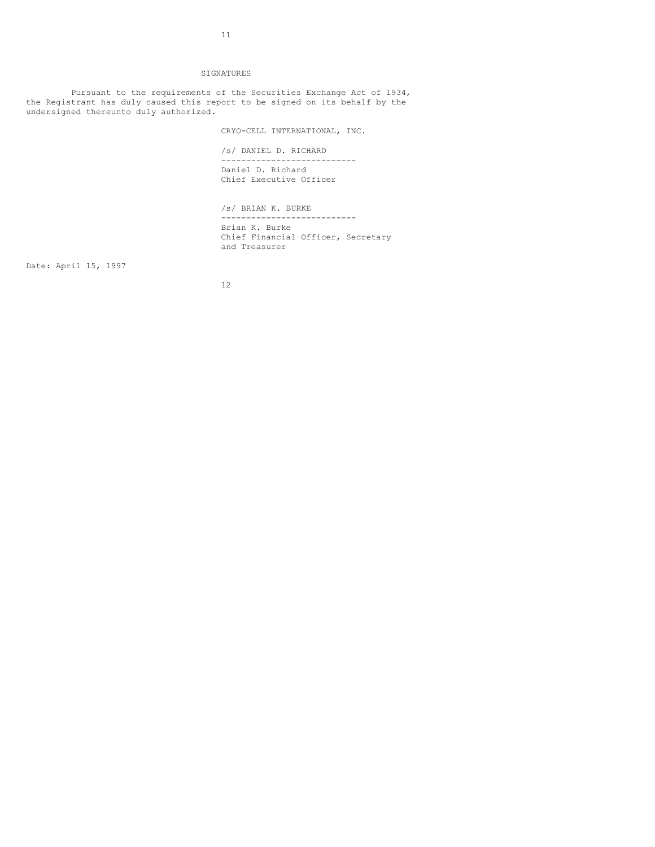#### SIGNATURES

Pursuant to the requirements of the Securities Exchange Act of 1934, the Registrant has duly caused this report to be signed on its behalf by the undersigned thereunto duly authorized.

CRYO-CELL INTERNATIONAL, INC.

/s/ DANIEL D. RICHARD

--------------------------- Daniel D. Richard Chief Executive Officer

/s/ BRIAN K. BURKE --------------------------- Brian K. Burke Chief Financial Officer, Secretary and Treasurer

Date: April 15, 1997

12